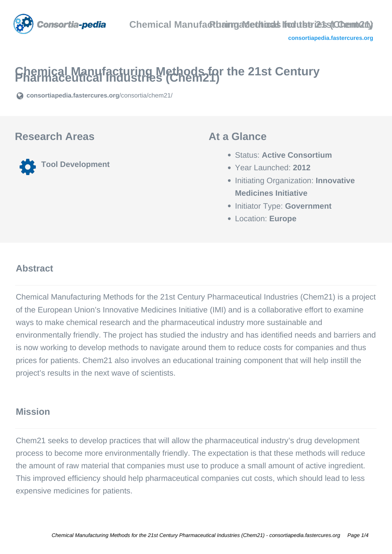

# **Chemical Manufacturing Methods for the 21st Century Pharmaceutical Industries (Chem21)**

**[consortiapedia.fastercures.org](https://consortiapedia.fastercures.org/consortia/chem21/)**[/consortia/chem21/](https://consortiapedia.fastercures.org/consortia/chem21/)

#### **Research Areas**

**Tool Development**

#### **At a Glance**

- Status: **Active Consortium**
- Year Launched: **2012**
- **Initiating Organization: Innovative Medicines Initiative**
- **Initiator Type: Government**
- Location: **Europe**

#### $\overline{a}$ **Abstract**

Chemical Manufacturing Methods for the 21st Century Pharmaceutical Industries (Chem21) is a project of the European Union's Innovative Medicines Initiative (IMI) and is a collaborative effort to examine ways to make chemical research and the pharmaceutical industry more sustainable and environmentally friendly. The project has studied the industry and has identified needs and barriers and is now working to develop methods to navigate around them to reduce costs for companies and thus prices for patients. Chem21 also involves an educational training component that will help instill the project's results in the next wave of scientists.

#### **Mission**

Chem21 seeks to develop practices that will allow the pharmaceutical industry's drug development process to become more environmentally friendly. The expectation is that these methods will reduce the amount of raw material that companies must use to produce a small amount of active ingredient. This improved efficiency should help pharmaceutical companies cut costs, which should lead to less expensive medicines for patients.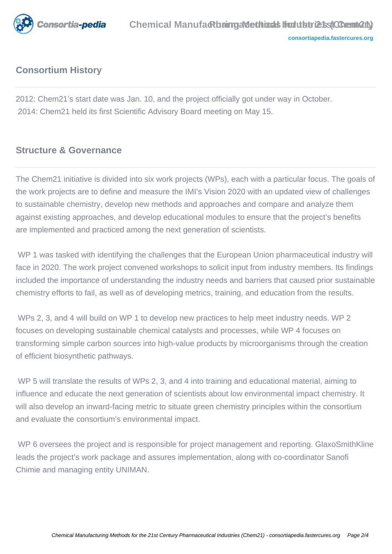

## **Consortium History**

2012: Chem21's start date was Jan. 10, and the project officially got under way in October. 2014: Chem21 held its first Scientific Advisory Board meeting on May 15.

#### **Structure & Governance**

The Chem21 initiative is divided into six work projects (WPs), each with a particular focus. The goals of the work projects are to define and measure the IMI's Vision 2020 with an updated view of challenges to sustainable chemistry, develop new methods and approaches and compare and analyze them against existing approaches, and develop educational modules to ensure that the project's benefits are implemented and practiced among the next generation of scientists.

WP 1 was tasked with identifying the challenges that the European Union pharmaceutical industry will face in 2020. The work project convened workshops to solicit input from industry members. Its findings included the importance of understanding the industry needs and barriers that caused prior sustainable chemistry efforts to fail, as well as of developing metrics, training, and education from the results.

 WPs 2, 3, and 4 will build on WP 1 to develop new practices to help meet industry needs. WP 2 focuses on developing sustainable chemical catalysts and processes, while WP 4 focuses on transforming simple carbon sources into high-value products by microorganisms through the creation of efficient biosynthetic pathways.

WP 5 will translate the results of WPs 2, 3, and 4 into training and educational material, aiming to influence and educate the next generation of scientists about low environmental impact chemistry. It will also develop an inward-facing metric to situate green chemistry principles within the consortium and evaluate the consortium's environmental impact.

WP 6 oversees the project and is responsible for project management and reporting. GlaxoSmithKline leads the project's work package and assures implementation, along with co-coordinator Sanofi Chimie and managing entity UNIMAN.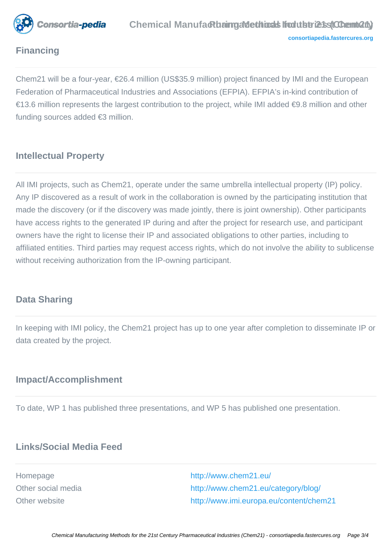

## **Financing**

Chem21 will be a four-year, €26.4 million (US\$35.9 million) project financed by IMI and the European Federation of Pharmaceutical Industries and Associations (EFPIA). EFPIA's in-kind contribution of €13.6 million represents the largest contribution to the project, while IMI added €9.8 million and other funding sources added €3 million.

#### **Intellectual Property**

All IMI projects, such as Chem21, operate under the same umbrella intellectual property (IP) policy. Any IP discovered as a result of work in the collaboration is owned by the participating institution that made the discovery (or if the discovery was made jointly, there is joint ownership). Other participants have access rights to the generated IP during and after the project for research use, and participant owners have the right to license their IP and associated obligations to other parties, including to affiliated entities. Third parties may request access rights, which do not involve the ability to sublicense without receiving authorization from the IP-owning participant.

#### **Data Sharing**

In keeping with IMI policy, the Chem21 project has up to one year after completion to disseminate IP or data created by the project.

#### **Impact/Accomplishment**

To date, WP 1 has published three presentations, and WP 5 has published one presentation.

## **Links/Social Media Feed**

Homepage <http://www.chem21.eu/> Other social media <http://www.chem21.eu/category/blog/> Other website <http://www.imi.europa.eu/content/chem21>